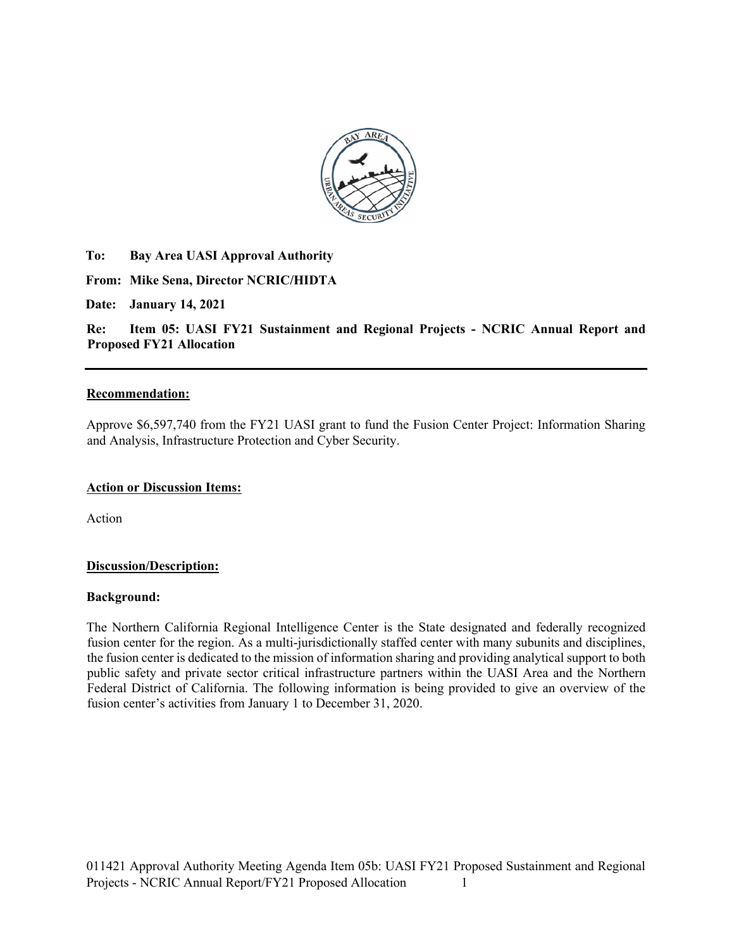

**To: Bay Area UASI Approval Authority** 

**From: Mike Sena, Director NCRIC/HIDTA** 

**Date: January 14, 2021**

**Re: Item 05: UASI FY21 Sustainment and Regional Projects - NCRIC Annual Report and Proposed FY21 Allocation**

#### **Recommendation:**

Approve \$6,597,740 from the FY21 UASI grant to fund the Fusion Center Project: Information Sharing and Analysis, Infrastructure Protection and Cyber Security.

#### **Action or Discussion Items:**

Action

#### **Discussion/Description:**

#### **Background:**

The Northern California Regional Intelligence Center is the State designated and federally recognized fusion center for the region. As a multi-jurisdictionally staffed center with many subunits and disciplines, the fusion center is dedicated to the mission of information sharing and providing analytical support to both public safety and private sector critical infrastructure partners within the UASI Area and the Northern Federal District of California. The following information is being provided to give an overview of the fusion center's activities from January 1 to December 31, 2020.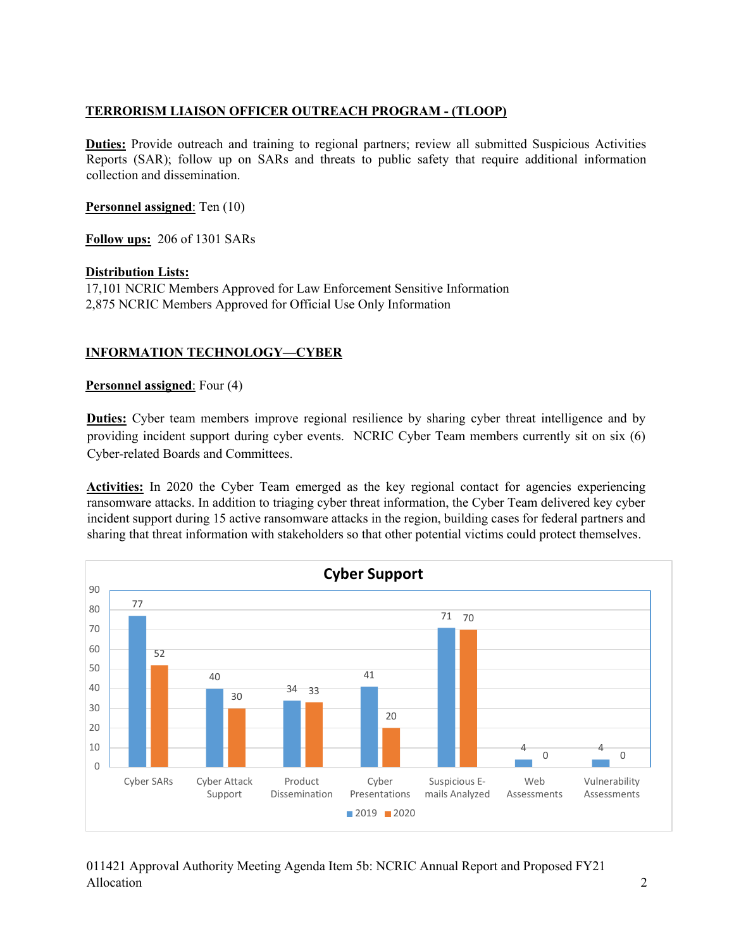### **TERRORISM LIAISON OFFICER OUTREACH PROGRAM - (TLOOP)**

**Duties:** Provide outreach and training to regional partners; review all submitted Suspicious Activities Reports (SAR); follow up on SARs and threats to public safety that require additional information collection and dissemination.

**Personnel assigned**: Ten (10)

**Follow ups:** 206 of 1301 SARs

#### **Distribution Lists:**

17,101 NCRIC Members Approved for Law Enforcement Sensitive Information 2,875 NCRIC Members Approved for Official Use Only Information

# **INFORMATION TECHNOLOGY—CYBER**

**Personnel assigned**: Four (4)

**Duties:** Cyber team members improve regional resilience by sharing cyber threat intelligence and by providing incident support during cyber events. NCRIC Cyber Team members currently sit on six (6) Cyber-related Boards and Committees.

Activities: In 2020 the Cyber Team emerged as the key regional contact for agencies experiencing ransomware attacks. In addition to triaging cyber threat information, the Cyber Team delivered key cyber incident support during 15 active ransomware attacks in the region, building cases for federal partners and sharing that threat information with stakeholders so that other potential victims could protect themselves.



# 011421 Approval Authority Meeting Agenda Item 5b: NCRIC Annual Report and Proposed FY21 Allocation 2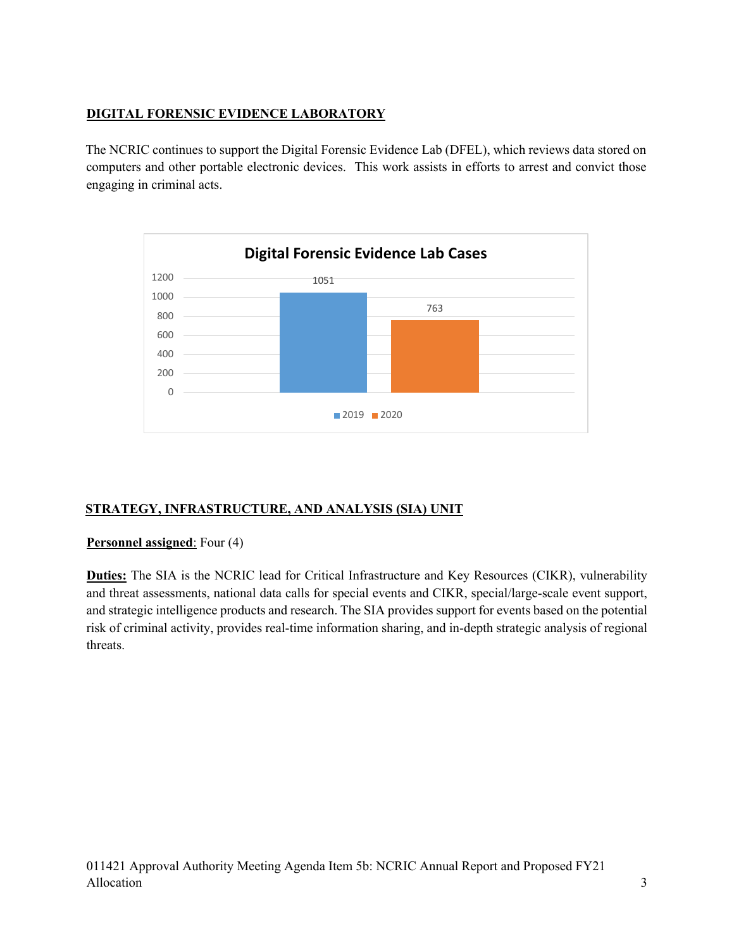# **DIGITAL FORENSIC EVIDENCE LABORATORY**

The NCRIC continues to support the Digital Forensic Evidence Lab (DFEL), which reviews data stored on computers and other portable electronic devices. This work assists in efforts to arrest and convict those engaging in criminal acts.



# **STRATEGY, INFRASTRUCTURE, AND ANALYSIS (SIA) UNIT**

### **Personnel assigned**: Four (4)

**Duties:** The SIA is the NCRIC lead for Critical Infrastructure and Key Resources (CIKR), vulnerability and threat assessments, national data calls for special events and CIKR, special/large-scale event support, and strategic intelligence products and research. The SIA provides support for events based on the potential risk of criminal activity, provides real-time information sharing, and in-depth strategic analysis of regional threats.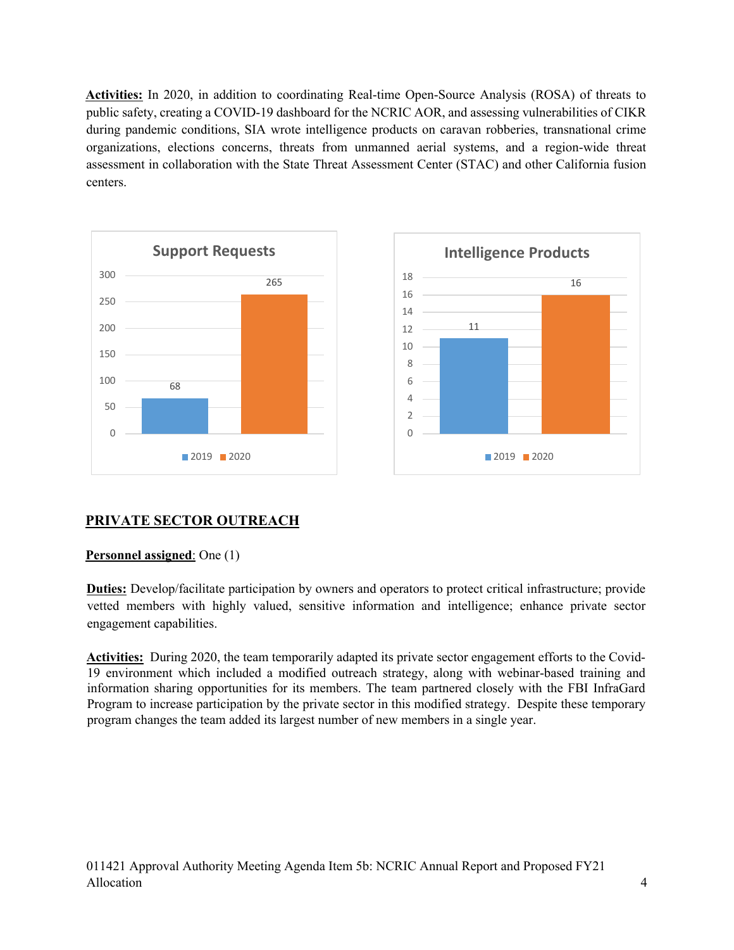**Activities:** In 2020, in addition to coordinating Real-time Open-Source Analysis (ROSA) of threats to public safety, creating a COVID-19 dashboard for the NCRIC AOR, and assessing vulnerabilities of CIKR during pandemic conditions, SIA wrote intelligence products on caravan robberies, transnational crime organizations, elections concerns, threats from unmanned aerial systems, and a region-wide threat assessment in collaboration with the State Threat Assessment Center (STAC) and other California fusion centers.



# **PRIVATE SECTOR OUTREACH**

### **Personnel assigned**: One (1)

**Duties:** Develop/facilitate participation by owners and operators to protect critical infrastructure; provide vetted members with highly valued, sensitive information and intelligence; enhance private sector engagement capabilities.

**Activities:** During 2020, the team temporarily adapted its private sector engagement efforts to the Covid-19 environment which included a modified outreach strategy, along with webinar-based training and information sharing opportunities for its members. The team partnered closely with the FBI InfraGard Program to increase participation by the private sector in this modified strategy. Despite these temporary program changes the team added its largest number of new members in a single year.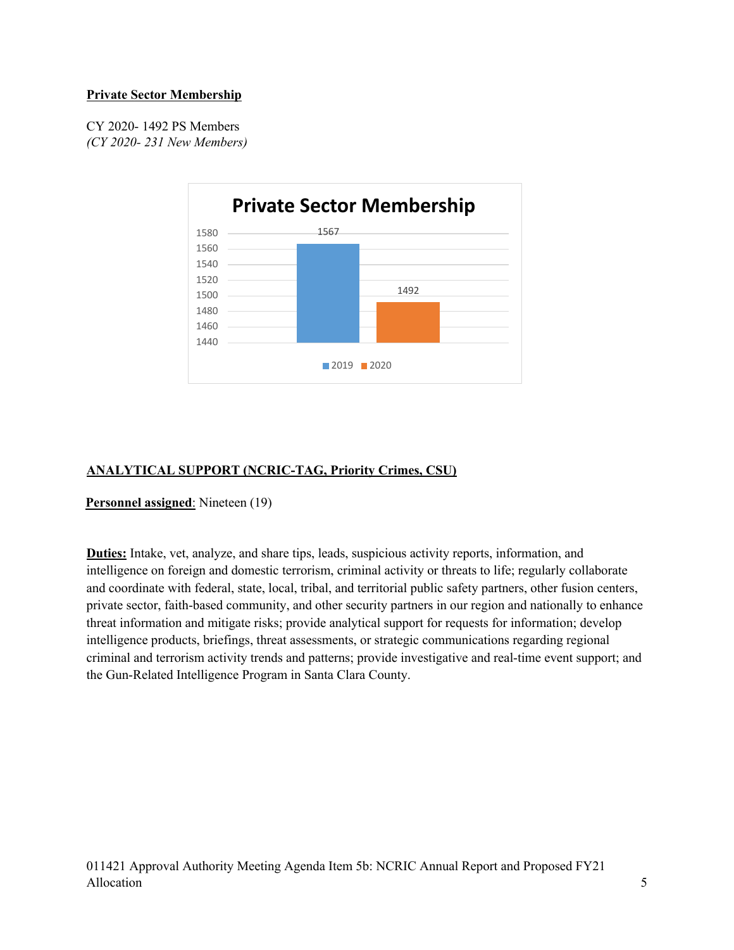#### **Private Sector Membership**

CY 2020- 1492 PS Members *(CY 2020- 231 New Members)*



# **ANALYTICAL SUPPORT (NCRIC-TAG, Priority Crimes, CSU)**

#### **Personnel assigned**: Nineteen (19)

**Duties:** Intake, vet, analyze, and share tips, leads, suspicious activity reports, information, and intelligence on foreign and domestic terrorism, criminal activity or threats to life; regularly collaborate and coordinate with federal, state, local, tribal, and territorial public safety partners, other fusion centers, private sector, faith-based community, and other security partners in our region and nationally to enhance threat information and mitigate risks; provide analytical support for requests for information; develop intelligence products, briefings, threat assessments, or strategic communications regarding regional criminal and terrorism activity trends and patterns; provide investigative and real-time event support; and the Gun-Related Intelligence Program in Santa Clara County.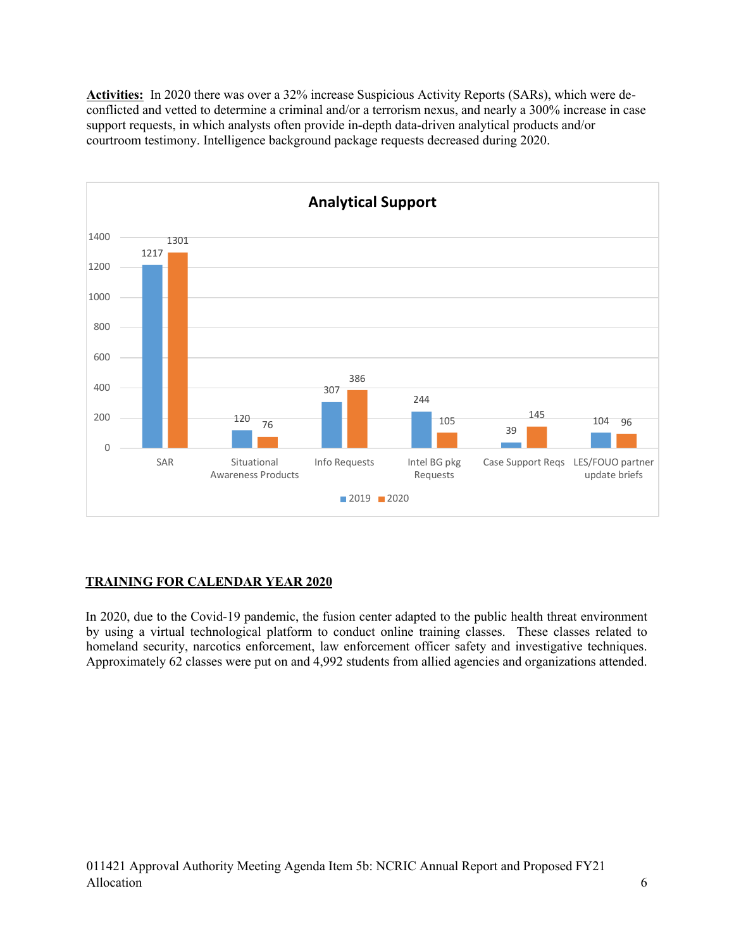**Activities:** In 2020 there was over a 32% increase Suspicious Activity Reports (SARs), which were deconflicted and vetted to determine a criminal and/or a terrorism nexus, and nearly a 300% increase in case support requests, in which analysts often provide in-depth data-driven analytical products and/or courtroom testimony. Intelligence background package requests decreased during 2020.



### **TRAINING FOR CALENDAR YEAR 2020**

In 2020, due to the Covid-19 pandemic, the fusion center adapted to the public health threat environment by using a virtual technological platform to conduct online training classes. These classes related to homeland security, narcotics enforcement, law enforcement officer safety and investigative techniques. Approximately 62 classes were put on and 4,992 students from allied agencies and organizations attended.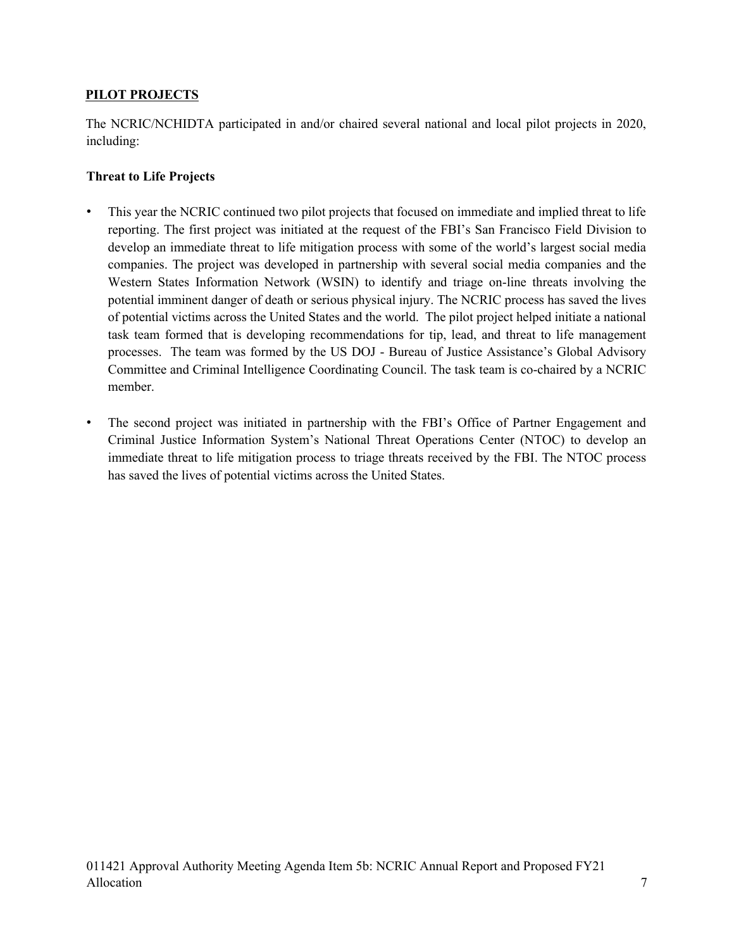## **PILOT PROJECTS**

The NCRIC/NCHIDTA participated in and/or chaired several national and local pilot projects in 2020, including:

## **Threat to Life Projects**

- This year the NCRIC continued two pilot projects that focused on immediate and implied threat to life reporting. The first project was initiated at the request of the FBI's San Francisco Field Division to develop an immediate threat to life mitigation process with some of the world's largest social media companies. The project was developed in partnership with several social media companies and the Western States Information Network (WSIN) to identify and triage on-line threats involving the potential imminent danger of death or serious physical injury. The NCRIC process has saved the lives of potential victims across the United States and the world. The pilot project helped initiate a national task team formed that is developing recommendations for tip, lead, and threat to life management processes. The team was formed by the US DOJ - Bureau of Justice Assistance's Global Advisory Committee and Criminal Intelligence Coordinating Council. The task team is co-chaired by a NCRIC member.
- The second project was initiated in partnership with the FBI's Office of Partner Engagement and Criminal Justice Information System's National Threat Operations Center (NTOC) to develop an immediate threat to life mitigation process to triage threats received by the FBI. The NTOC process has saved the lives of potential victims across the United States.